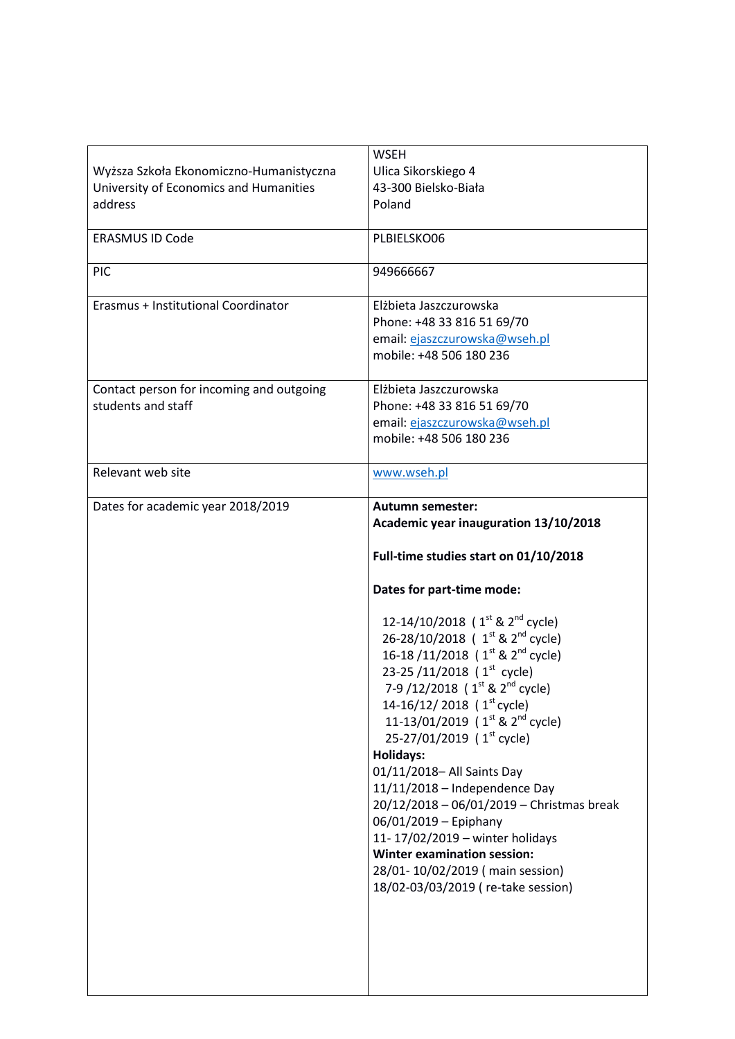|                                          | <b>WSEH</b>                                              |
|------------------------------------------|----------------------------------------------------------|
| Wyższa Szkoła Ekonomiczno-Humanistyczna  | Ulica Sikorskiego 4                                      |
| University of Economics and Humanities   | 43-300 Bielsko-Biała                                     |
| address                                  | Poland                                                   |
|                                          |                                                          |
| <b>ERASMUS ID Code</b>                   | PLBIELSKO06                                              |
|                                          |                                                          |
| <b>PIC</b>                               | 949666667                                                |
|                                          |                                                          |
| Erasmus + Institutional Coordinator      | Elżbieta Jaszczurowska                                   |
|                                          | Phone: +48 33 816 51 69/70                               |
|                                          | email: ejaszczurowska@wseh.pl                            |
|                                          | mobile: +48 506 180 236                                  |
|                                          |                                                          |
| Contact person for incoming and outgoing | Elżbieta Jaszczurowska                                   |
| students and staff                       | Phone: +48 33 816 51 69/70                               |
|                                          | email: ejaszczurowska@wseh.pl                            |
|                                          | mobile: +48 506 180 236                                  |
|                                          |                                                          |
| Relevant web site                        | www.wseh.pl                                              |
|                                          |                                                          |
| Dates for academic year 2018/2019        | <b>Autumn semester:</b>                                  |
|                                          | Academic year inauguration 13/10/2018                    |
|                                          | Full-time studies start on 01/10/2018                    |
|                                          |                                                          |
|                                          |                                                          |
|                                          | Dates for part-time mode:                                |
|                                          |                                                          |
|                                          | 12-14/10/2018 ( $1^{st}$ & $2^{nd}$ cycle)               |
|                                          | 26-28/10/2018 ( 1 <sup>st</sup> & 2 <sup>nd</sup> cycle) |
|                                          | 16-18/11/2018 ( $1^{\text{st}}$ & $2^{\text{nd}}$ cycle) |
|                                          | 23-25/11/2018 ( $1st$ cycle)                             |
|                                          | 7-9 /12/2018 ( 1 <sup>st</sup> & 2 <sup>nd</sup> cycle)  |
|                                          | 14-16/12/2018 ( $1st$ cycle)                             |
|                                          | 11-13/01/2019 ( $1^{\text{st}}$ & $2^{\text{nd}}$ cycle) |
|                                          | 25-27/01/2019 (1 <sup>st</sup> cycle)                    |
|                                          | <b>Holidays:</b>                                         |
|                                          | 01/11/2018- All Saints Day                               |
|                                          | $11/11/2018$ - Independence Day                          |
|                                          | 20/12/2018 - 06/01/2019 - Christmas break                |
|                                          | 06/01/2019 - Epiphany                                    |
|                                          | 11-17/02/2019 - winter holidays                          |
|                                          | <b>Winter examination session:</b>                       |
|                                          | 28/01-10/02/2019 (main session)                          |
|                                          | 18/02-03/03/2019 (re-take session)                       |
|                                          |                                                          |
|                                          |                                                          |
|                                          |                                                          |
|                                          |                                                          |
|                                          |                                                          |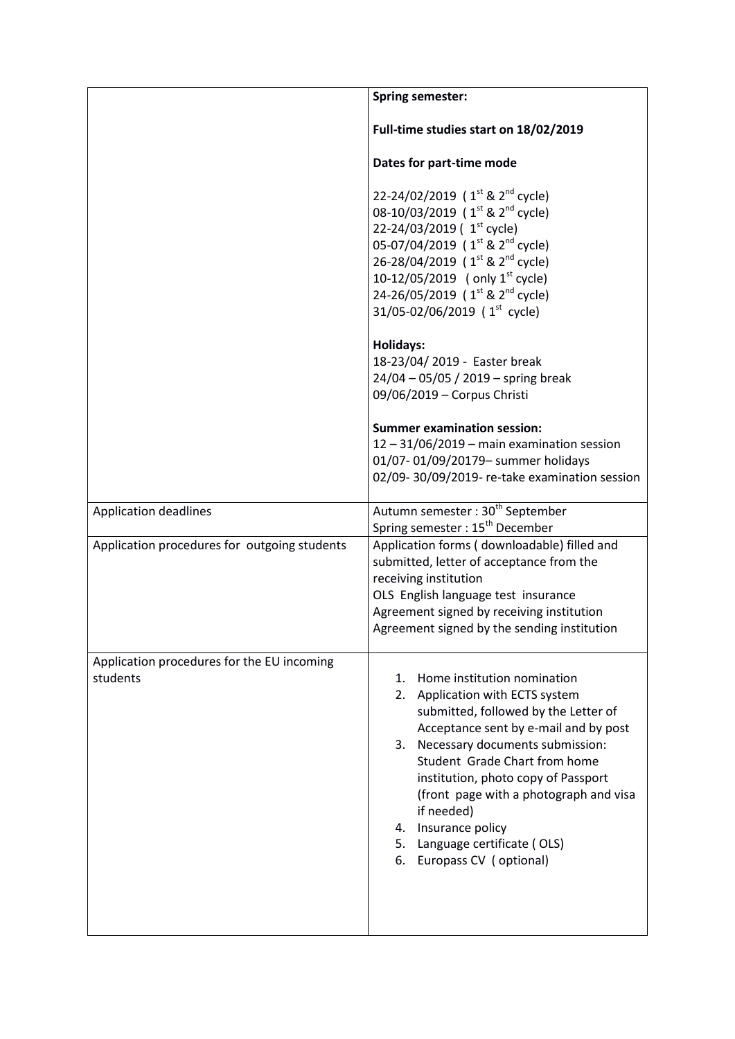|                                                        | <b>Spring semester:</b>                                                                                                                                                                                                                                                                                                                                                                                             |
|--------------------------------------------------------|---------------------------------------------------------------------------------------------------------------------------------------------------------------------------------------------------------------------------------------------------------------------------------------------------------------------------------------------------------------------------------------------------------------------|
|                                                        | Full-time studies start on 18/02/2019                                                                                                                                                                                                                                                                                                                                                                               |
|                                                        | Dates for part-time mode                                                                                                                                                                                                                                                                                                                                                                                            |
|                                                        | 22-24/02/2019 ( $1^{st}$ & $2^{nd}$ cycle)<br>08-10/03/2019 (1 <sup>st</sup> & 2 <sup>nd</sup> cycle)<br>22-24/03/2019 ( $1st$ cycle)<br>05-07/04/2019 ( 1 <sup>st</sup> & 2 <sup>nd</sup> cycle)<br>26-28/04/2019 (1 <sup>st</sup> & 2 <sup>nd</sup> cycle)<br>10-12/05/2019 (only $1^{st}$ cycle)<br>24-26/05/2019 ( $1^{st}$ & $2^{nd}$ cycle)<br>31/05-02/06/2019 ( $1st$ cycle)                                |
|                                                        | Holidays:<br>18-23/04/ 2019 - Easter break<br>24/04 - 05/05 / 2019 - spring break<br>09/06/2019 - Corpus Christi                                                                                                                                                                                                                                                                                                    |
|                                                        | <b>Summer examination session:</b><br>$12 - 31/06/2019$ – main examination session<br>01/07-01/09/20179- summer holidays<br>02/09-30/09/2019- re-take examination session                                                                                                                                                                                                                                           |
| <b>Application deadlines</b>                           | Autumn semester: 30 <sup>th</sup> September<br>Spring semester: 15 <sup>th</sup> December                                                                                                                                                                                                                                                                                                                           |
| Application procedures for outgoing students           | Application forms (downloadable) filled and<br>submitted, letter of acceptance from the<br>receiving institution<br>OLS English language test insurance<br>Agreement signed by receiving institution<br>Agreement signed by the sending institution                                                                                                                                                                 |
| Application procedures for the EU incoming<br>students | Home institution nomination<br>1.<br>Application with ECTS system<br>2.<br>submitted, followed by the Letter of<br>Acceptance sent by e-mail and by post<br>3. Necessary documents submission:<br>Student Grade Chart from home<br>institution, photo copy of Passport<br>(front page with a photograph and visa<br>if needed)<br>4. Insurance policy<br>5. Language certificate (OLS)<br>6. Europass CV (optional) |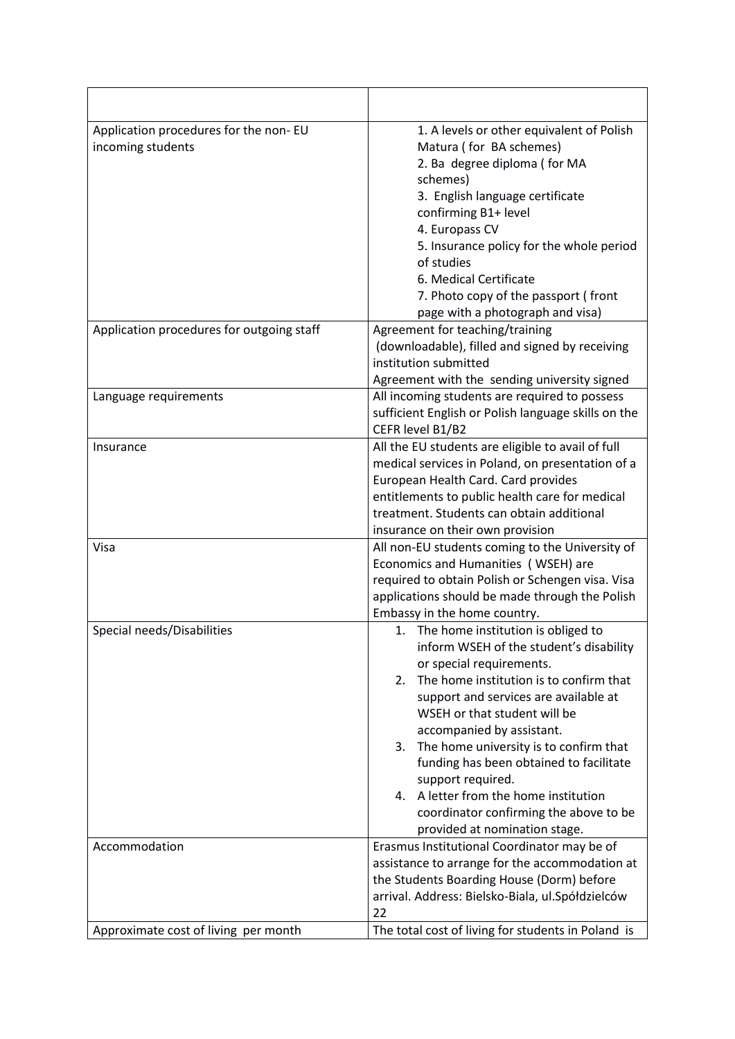| Application procedures for the non-EU<br>incoming students | 1. A levels or other equivalent of Polish<br>Matura (for BA schemes)<br>2. Ba degree diploma (for MA<br>schemes)<br>3. English language certificate<br>confirming B1+ level<br>4. Europass CV<br>5. Insurance policy for the whole period<br>of studies<br>6. Medical Certificate<br>7. Photo copy of the passport (front<br>page with a photograph and visa)                                                                                                                                           |
|------------------------------------------------------------|---------------------------------------------------------------------------------------------------------------------------------------------------------------------------------------------------------------------------------------------------------------------------------------------------------------------------------------------------------------------------------------------------------------------------------------------------------------------------------------------------------|
| Application procedures for outgoing staff                  | Agreement for teaching/training<br>(downloadable), filled and signed by receiving<br>institution submitted<br>Agreement with the sending university signed                                                                                                                                                                                                                                                                                                                                              |
| Language requirements                                      | All incoming students are required to possess<br>sufficient English or Polish language skills on the<br>CEFR level B1/B2                                                                                                                                                                                                                                                                                                                                                                                |
| Insurance                                                  | All the EU students are eligible to avail of full<br>medical services in Poland, on presentation of a<br>European Health Card. Card provides<br>entitlements to public health care for medical<br>treatment. Students can obtain additional<br>insurance on their own provision                                                                                                                                                                                                                         |
| Visa                                                       | All non-EU students coming to the University of<br>Economics and Humanities (WSEH) are<br>required to obtain Polish or Schengen visa. Visa<br>applications should be made through the Polish<br>Embassy in the home country.                                                                                                                                                                                                                                                                            |
| Special needs/Disabilities                                 | 1. The home institution is obliged to<br>inform WSEH of the student's disability<br>or special requirements.<br>The home institution is to confirm that<br>2.<br>support and services are available at<br>WSEH or that student will be<br>accompanied by assistant.<br>The home university is to confirm that<br>3.<br>funding has been obtained to facilitate<br>support required.<br>4. A letter from the home institution<br>coordinator confirming the above to be<br>provided at nomination stage. |
| Accommodation                                              | Erasmus Institutional Coordinator may be of<br>assistance to arrange for the accommodation at<br>the Students Boarding House (Dorm) before<br>arrival. Address: Bielsko-Biala, ul.Spółdzielców<br>22                                                                                                                                                                                                                                                                                                    |
| Approximate cost of living per month                       | The total cost of living for students in Poland is                                                                                                                                                                                                                                                                                                                                                                                                                                                      |